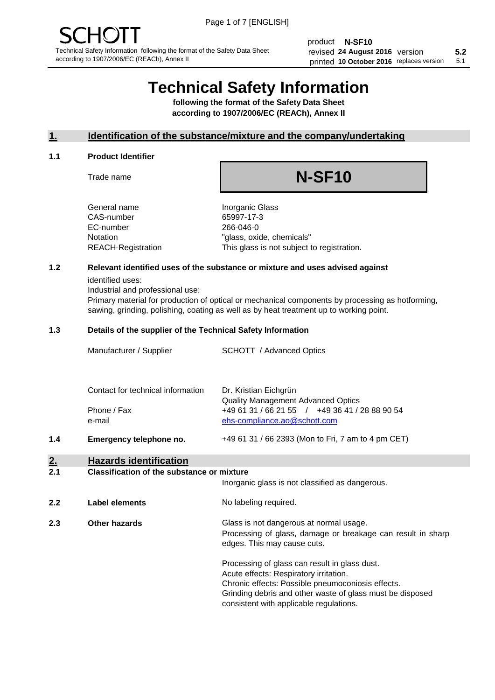product **N-SF10** revised **5.2 24 August 2016** version printed 10 October 2016 replaces version 5.1

# **Technical Safety Information**

**following the format of the Safety Data Sheet according to 1907/2006/EC (REACh), Annex II**

## **1. Identification of the substance/mixture and the company/undertaking**

## **1.1 Product Identifier**

Trade name

# **N-SF10**

+49 61 31 / 66 2393 (Mon to Fri, 7 am to 4 pm CET)

General name **Inorganic Glass** CAS-number 65997-17-3 EC-number 266-046-0

Notation "glass, oxide, chemicals" REACH-Registration This glass is not subject to registration.

## **1.2 Relevant identified uses of the substance or mixture and uses advised against**

identified uses:

Industrial and professional use:

Primary material for production of optical or mechanical components by processing as hotforming, sawing, grinding, polishing, coating as well as by heat treatment up to working point.

## **1.3 Details of the supplier of the Technical Safety Information**

| Manufacturer / Supplier           | <b>SCHOTT</b> / Advanced Optics                |
|-----------------------------------|------------------------------------------------|
| Contact for technical information | Dr. Kristian Eichgrün                          |
|                                   | <b>Quality Management Advanced Optics</b>      |
| Phone / Fax                       | +49 61 31 / 66 21 55 / +49 36 41 / 28 88 90 54 |
| e-mail                            | ehs-compliance.ao@schott.com                   |

**1.4 Emergency telephone no.**

## **2. Hazards identification**

### **2.1 Classification of the substance or mixture**

|     |                      | Inorganic glass is not classified as dangerous.                                                                                                                                                                                                      |
|-----|----------------------|------------------------------------------------------------------------------------------------------------------------------------------------------------------------------------------------------------------------------------------------------|
| 2.2 | Label elements       | No labeling required.                                                                                                                                                                                                                                |
| 2.3 | <b>Other hazards</b> | Glass is not dangerous at normal usage.<br>Processing of glass, damage or breakage can result in sharp<br>edges. This may cause cuts.                                                                                                                |
|     |                      | Processing of glass can result in glass dust.<br>Acute effects: Respiratory irritation.<br>Chronic effects: Possible pneumoconiosis effects.<br>Grinding debris and other waste of glass must be disposed<br>consistent with applicable regulations. |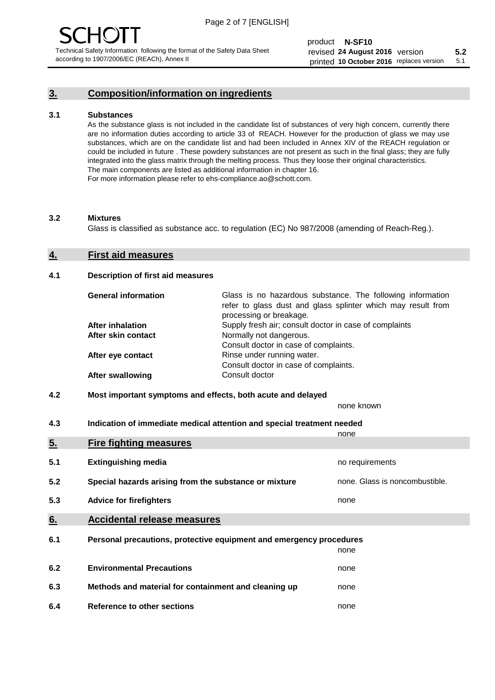## **3. Composition/information on ingredients**

## **3.1 Substances**

As the substance glass is not included in the candidate list of substances of very high concern, currently there are no information duties according to article 33 of REACH. However for the production of glass we may use substances, which are on the candidate list and had been included in Annex XIV of the REACH regulation or could be included in future . These powdery substances are not present as such in the final glass; they are fully integrated into the glass matrix through the melting process. Thus they loose their original characteristics. The main components are listed as additional information in chapter 16. For more information please refer to ehs-compliance.ao@schott.com.

### **3.2 Mixtures**

Glass is classified as substance acc. to regulation (EC) No 987/2008 (amending of Reach-Reg.).

## **4. First aid measures**

## **4.1 Description of first aid measures**

| <b>General information</b> | Glass is no hazardous substance. The following information<br>refer to glass dust and glass splinter which may result from<br>processing or breakage. |
|----------------------------|-------------------------------------------------------------------------------------------------------------------------------------------------------|
| <b>After inhalation</b>    | Supply fresh air; consult doctor in case of complaints                                                                                                |
| After skin contact         | Normally not dangerous.                                                                                                                               |
|                            | Consult doctor in case of complaints.                                                                                                                 |
| After eye contact          | Rinse under running water.                                                                                                                            |
|                            | Consult doctor in case of complaints.                                                                                                                 |
| <b>After swallowing</b>    | Consult doctor                                                                                                                                        |

## **4.2 Most important symptoms and effects, both acute and delayed**

none known

**4.3 Indication of immediate medical attention and special treatment needed** 

|     |                                                                     | none                           |
|-----|---------------------------------------------------------------------|--------------------------------|
| 5.  | <b>Fire fighting measures</b>                                       |                                |
| 5.1 | <b>Extinguishing media</b>                                          | no requirements                |
| 5.2 | Special hazards arising from the substance or mixture               | none. Glass is noncombustible. |
| 5.3 | <b>Advice for firefighters</b>                                      | none                           |
| 6.  | <b>Accidental release measures</b>                                  |                                |
| 6.1 | Personal precautions, protective equipment and emergency procedures |                                |
|     |                                                                     | none                           |
| 6.2 | <b>Environmental Precautions</b>                                    | none                           |
| 6.3 | Methods and material for containment and cleaning up                | none                           |
| 6.4 | Reference to other sections                                         | none                           |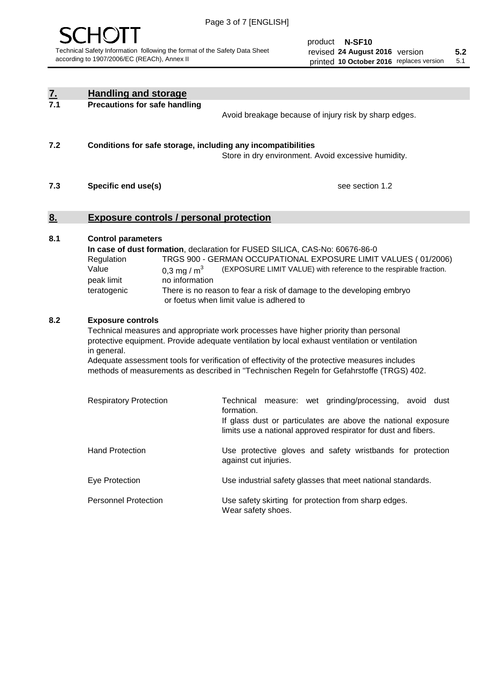

product **N-SF10** revised **5.2 24 August 2016** version printed 10 October 2016 replaces version 5.1

| <u>7.</u> | <b>Handling and storage</b>                                                                                                                                                                                                                                                                                                                                                                                                                                |                                                                                                                                                                                                            |  |  |
|-----------|------------------------------------------------------------------------------------------------------------------------------------------------------------------------------------------------------------------------------------------------------------------------------------------------------------------------------------------------------------------------------------------------------------------------------------------------------------|------------------------------------------------------------------------------------------------------------------------------------------------------------------------------------------------------------|--|--|
| 7.1       | <b>Precautions for safe handling</b><br>Avoid breakage because of injury risk by sharp edges.                                                                                                                                                                                                                                                                                                                                                              |                                                                                                                                                                                                            |  |  |
| 7.2       | Conditions for safe storage, including any incompatibilities<br>Store in dry environment. Avoid excessive humidity.                                                                                                                                                                                                                                                                                                                                        |                                                                                                                                                                                                            |  |  |
| 7.3       | see section 1.2<br>Specific end use(s)                                                                                                                                                                                                                                                                                                                                                                                                                     |                                                                                                                                                                                                            |  |  |
| 8.        | <b>Exposure controls / personal protection</b>                                                                                                                                                                                                                                                                                                                                                                                                             |                                                                                                                                                                                                            |  |  |
| 8.1       | <b>Control parameters</b><br>In case of dust formation, declaration for FUSED SILICA, CAS-No: 60676-86-0<br>TRGS 900 - GERMAN OCCUPATIONAL EXPOSURE LIMIT VALUES (01/2006)<br>Regulation<br>Value<br>(EXPOSURE LIMIT VALUE) with reference to the respirable fraction.<br>0,3 mg / $m3$<br>peak limit<br>no information<br>There is no reason to fear a risk of damage to the developing embryo<br>teratogenic<br>or foetus when limit value is adhered to |                                                                                                                                                                                                            |  |  |
| 8.2       | <b>Exposure controls</b><br>Technical measures and appropriate work processes have higher priority than personal<br>protective equipment. Provide adequate ventilation by local exhaust ventilation or ventilation<br>in general.<br>Adequate assessment tools for verification of effectivity of the protective measures includes<br>methods of measurements as described in "Technischen Regeln for Gefahrstoffe (TRGS) 402.                             |                                                                                                                                                                                                            |  |  |
|           | <b>Respiratory Protection</b>                                                                                                                                                                                                                                                                                                                                                                                                                              | Technical measure: wet grinding/processing,<br>avoid dust<br>formation.<br>If glass dust or particulates are above the national exposure<br>limits use a national approved respirator for dust and fibers. |  |  |
|           | <b>Hand Protection</b>                                                                                                                                                                                                                                                                                                                                                                                                                                     | Use protective gloves and safety wristbands for protection<br>against cut injuries.                                                                                                                        |  |  |
|           | Eye Protection                                                                                                                                                                                                                                                                                                                                                                                                                                             | Use industrial safety glasses that meet national standards.                                                                                                                                                |  |  |
|           | <b>Personnel Protection</b>                                                                                                                                                                                                                                                                                                                                                                                                                                | Use safety skirting for protection from sharp edges.<br>Wear safety shoes.                                                                                                                                 |  |  |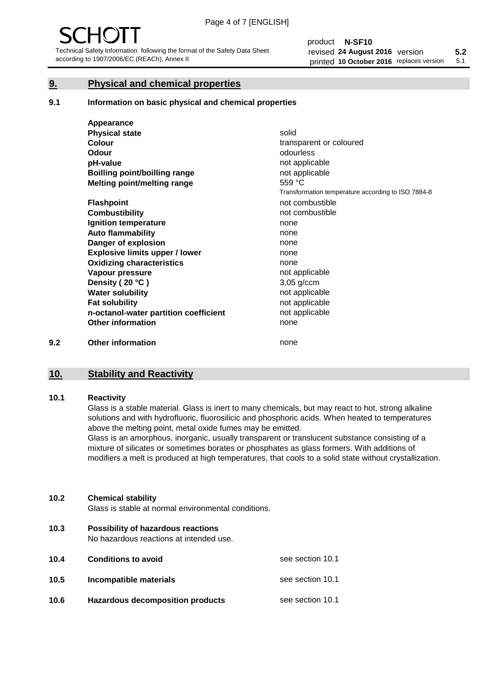## **9. Physical and chemical properties**

### **9.1 Information on basic physical and chemical properties**

|     | Appearance                            |                                                    |
|-----|---------------------------------------|----------------------------------------------------|
|     | <b>Physical state</b>                 | solid                                              |
|     | <b>Colour</b>                         | transparent or coloured                            |
|     | <b>Odour</b>                          | odourless                                          |
|     | pH-value                              | not applicable                                     |
|     | <b>Boilling point/boilling range</b>  | not applicable                                     |
|     | Melting point/melting range           | 559 °C                                             |
|     |                                       | Transformation temperature according to ISO 7884-8 |
|     | <b>Flashpoint</b>                     | not combustible                                    |
|     | <b>Combustibility</b>                 | not combustible                                    |
|     | Ignition temperature                  | none                                               |
|     | <b>Auto flammability</b>              | none                                               |
|     | Danger of explosion                   | none                                               |
|     | <b>Explosive limits upper / lower</b> | none                                               |
|     | <b>Oxidizing characteristics</b>      | none                                               |
|     | Vapour pressure                       | not applicable                                     |
|     | Density (20 °C)                       | $3,05$ g/ccm                                       |
|     | <b>Water solubility</b>               | not applicable                                     |
|     | <b>Fat solubility</b>                 | not applicable                                     |
|     | n-octanol-water partition coefficient | not applicable                                     |
|     | <b>Other information</b>              | none                                               |
| 9.2 | <b>Other information</b>              | none                                               |

## **10. Stability and Reactivity**

### **10.1 Reactivity**

Glass is a stable material. Glass is inert to many chemicals, but may react to hot, strong alkaline solutions and with hydrofluoric, fluorosilicic and phosphoric acids. When heated to temperatures above the melting point, metal oxide fumes may be emitted.

Glass is an amorphous, inorganic, usually transparent or translucent substance consisting of a mixture of silicates or sometimes borates or phosphates as glass formers. With additions of modifiers a melt is produced at high temperatures, that cools to a solid state without crystallization.

## **10.2 Chemical stability**

Glass is stable at normal environmental conditions.

**10.3 Possibility of hazardous reactions** 

No hazardous reactions at intended use.

| 10.4 | <b>Conditions to avoid</b>              | see section 10.1 |
|------|-----------------------------------------|------------------|
| 10.5 | Incompatible materials                  | see section 10.1 |
| 10.6 | <b>Hazardous decomposition products</b> | see section 10.1 |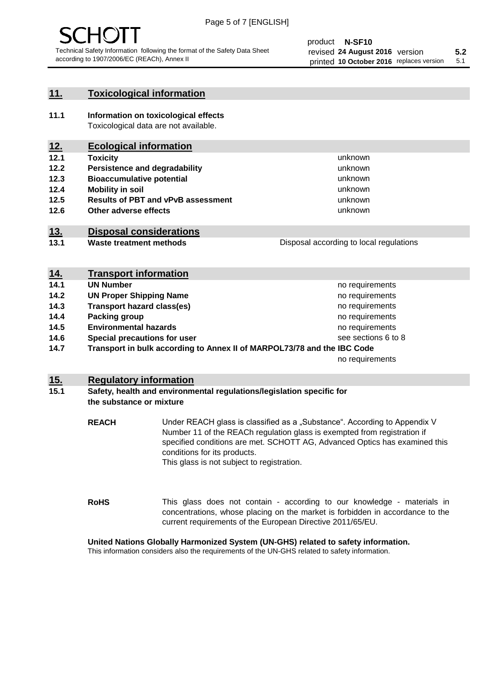## **11. Toxicological information**

**11.1 Information on toxicological effects** Toxicological data are not available.

## **12. Ecological information**

- **12.1 Toxicity**
- **12.2 Persistence and degradability**
- **12.3 Bioaccumulative potential**
- **12.4 Mobility in soil**
- **12.5 Results of PBT and vPvB assessment**
- **12.6 Other adverse effects**

## **13. Disposal considerations**

**13.1 Waste treatment methods**

Disposal according to local regulations

unknown unknown unknown

unknown unknown unknown

| <u>14.</u> | <b>Transport information</b>                                            |                     |
|------------|-------------------------------------------------------------------------|---------------------|
| 14.1       | <b>UN Number</b>                                                        | no requirements     |
| 14.2       | <b>UN Proper Shipping Name</b>                                          | no requirements     |
| 14.3       | <b>Transport hazard class(es)</b>                                       | no requirements     |
| 14.4       | Packing group                                                           | no requirements     |
| 14.5       | <b>Environmental hazards</b>                                            | no requirements     |
| 14.6       | Special precautions for user                                            | see sections 6 to 8 |
| 14.7       | Transport in bulk according to Annex II of MARPOL73/78 and the IBC Code |                     |
|            |                                                                         | no requirements     |

## **15. Regulatory information**

## **15.1 Safety, health and environmental regulations/legislation specific for the substance or mixture**

**REACH** Under REACH glass is classified as a "Substance". According to Appendix V Number 11 of the REACh regulation glass is exempted from registration if specified conditions are met. SCHOTT AG, Advanced Optics has examined this conditions for its products. This glass is not subject to registration.

**RoHS** This glass does not contain - according to our knowledge - materials in concentrations, whose placing on the market is forbidden in accordance to the current requirements of the European Directive 2011/65/EU.

## **United Nations Globally Harmonized System (UN-GHS) related to safety information.**

This information considers also the requirements of the UN-GHS related to safety information.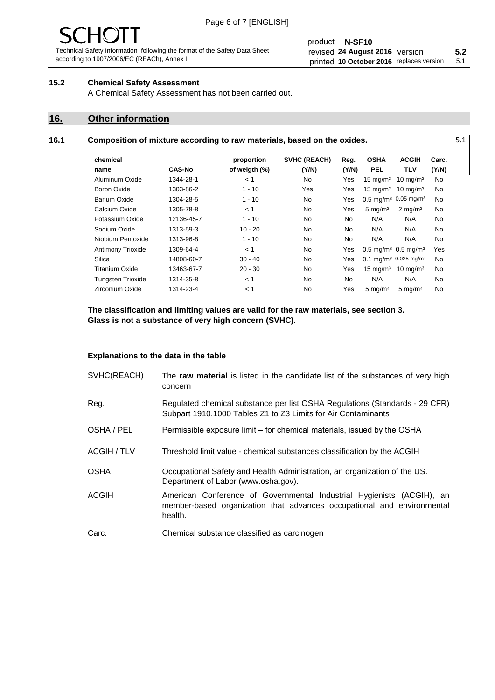#### product **N-SF10** revised **5.2 24 August 2016** version printed 10 October 2016 replaces version 5.1

## **15.2 Chemical Safety Assessment**

A Chemical Safety Assessment has not been carried out.

## **16. Other information**

L,

## **16.1 Composition of mixture according to raw materials, based on the oxides.** 5.1

| chemical                 |               | proportion    | <b>SVHC (REACH)</b> | Reg.  | <b>OSHA</b>             | <b>ACGIH</b>                                  | Carc. |
|--------------------------|---------------|---------------|---------------------|-------|-------------------------|-----------------------------------------------|-------|
| name                     | <b>CAS-No</b> | of weigth (%) | (Y/N)               | (Y/N) | <b>PEL</b>              | <b>TLV</b>                                    | (Y/N) |
| Aluminum Oxide           | 1344-28-1     | < 1           | No.                 | Yes   | $15 \text{ mg/m}^3$     | $10 \text{ mg/m}^3$                           | No    |
| Boron Oxide              | 1303-86-2     | $1 - 10$      | Yes                 | Yes   | $15 \text{ mg/m}^3$     | $10 \text{ mg/m}^3$                           | No    |
| Barium Oxide             | 1304-28-5     | $1 - 10$      | No.                 | Yes   | $0.5$ mg/m <sup>3</sup> | $0.05 \,\mathrm{mg/m^3}$                      | No    |
| Calcium Oxide            | 1305-78-8     | < 1           | No.                 | Yes   | $5 \text{ mg/m}^3$      | $2 \text{ mg/m}^3$                            | No    |
| Potassium Oxide          | 12136-45-7    | $1 - 10$      | No.                 | No    | N/A                     | N/A                                           | No    |
| Sodium Oxide             | 1313-59-3     | $10 - 20$     | No.                 | No    | N/A                     | N/A                                           | No    |
| Niobium Pentoxide        | 1313-96-8     | $1 - 10$      | No.                 | No    | N/A                     | N/A                                           | No    |
| <b>Antimony Trioxide</b> | 1309-64-4     | < 1           | No.                 | Yes   |                         | $0.5 \,\mathrm{mq/m^3}$ 0.5 mg/m <sup>3</sup> | Yes   |
| Silica                   | 14808-60-7    | $30 - 40$     | No.                 | Yes   |                         | $0.1 \text{ mg/m}^3$ 0.025 mg/m <sup>3</sup>  | No    |
| Titanium Oxide           | 13463-67-7    | $20 - 30$     | No.                 | Yes   | $15 \text{ mg/m}^3$     | $10 \text{ mg/m}^3$                           | No    |
| <b>Tungsten Trioxide</b> | 1314-35-8     | < 1           | No.                 | No    | N/A                     | N/A                                           | No    |
| Zirconium Oxide          | 1314-23-4     | < 1           | No                  | Yes   | $5 \text{ mg/m}^3$      | $5 \text{ mg/m}^3$                            | No    |

**The classification and limiting values are valid for the raw materials, see section 3. Glass is not a substance of very high concern (SVHC).**

## **Explanations to the data in the table**

| SVHC(REACH)        | The raw material is listed in the candidate list of the substances of very high<br>concern                                                                 |  |  |
|--------------------|------------------------------------------------------------------------------------------------------------------------------------------------------------|--|--|
| Reg.               | Regulated chemical substance per list OSHA Regulations (Standards - 29 CFR)<br>Subpart 1910.1000 Tables Z1 to Z3 Limits for Air Contaminants               |  |  |
| OSHA / PEL         | Permissible exposure limit – for chemical materials, issued by the OSHA                                                                                    |  |  |
| <b>ACGIH / TLV</b> | Threshold limit value - chemical substances classification by the ACGIH                                                                                    |  |  |
| <b>OSHA</b>        | Occupational Safety and Health Administration, an organization of the US.<br>Department of Labor (www.osha.gov).                                           |  |  |
| <b>ACGIH</b>       | American Conference of Governmental Industrial Hygienists (ACGIH), an<br>member-based organization that advances occupational and environmental<br>health. |  |  |
| Carc.              | Chemical substance classified as carcinogen                                                                                                                |  |  |